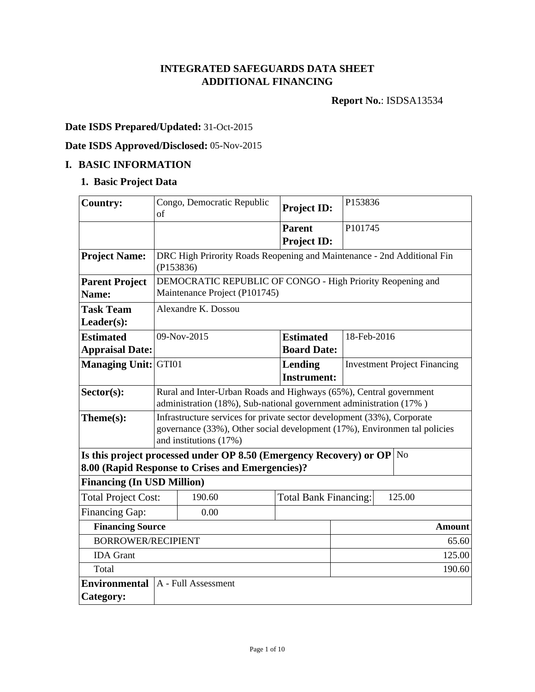# **INTEGRATED SAFEGUARDS DATA SHEET ADDITIONAL FINANCING**

**Report No.**: ISDSA13534

# **Date ISDS Prepared/Updated:** 31-Oct-2015

# **Date ISDS Approved/Disclosed:** 05-Nov-2015

### **I. BASIC INFORMATION**

# **1. Basic Project Data**

| <b>Country:</b>                   | of                                                                                                                                                                             | Congo, Democratic Republic                                                                                             | <b>Project ID:</b>           |                     | P153836                             |                |  |
|-----------------------------------|--------------------------------------------------------------------------------------------------------------------------------------------------------------------------------|------------------------------------------------------------------------------------------------------------------------|------------------------------|---------------------|-------------------------------------|----------------|--|
|                                   |                                                                                                                                                                                |                                                                                                                        | <b>Parent</b>                | P <sub>101745</sub> |                                     |                |  |
|                                   |                                                                                                                                                                                |                                                                                                                        | <b>Project ID:</b>           |                     |                                     |                |  |
| <b>Project Name:</b>              |                                                                                                                                                                                | DRC High Prirority Roads Reopening and Maintenance - 2nd Additional Fin<br>(P153836)                                   |                              |                     |                                     |                |  |
| <b>Parent Project</b><br>Name:    |                                                                                                                                                                                | DEMOCRATIC REPUBLIC OF CONGO - High Priority Reopening and<br>Maintenance Project (P101745)                            |                              |                     |                                     |                |  |
| <b>Task Team</b>                  |                                                                                                                                                                                | Alexandre K. Dossou                                                                                                    |                              |                     |                                     |                |  |
| $Leader(s)$ :                     |                                                                                                                                                                                |                                                                                                                        |                              |                     |                                     |                |  |
| <b>Estimated</b>                  |                                                                                                                                                                                | 09-Nov-2015                                                                                                            | <b>Estimated</b>             | 18-Feb-2016         |                                     |                |  |
| <b>Appraisal Date:</b>            |                                                                                                                                                                                |                                                                                                                        | <b>Board Date:</b>           |                     |                                     |                |  |
| <b>Managing Unit: GTI01</b>       |                                                                                                                                                                                |                                                                                                                        | Lending                      |                     | <b>Investment Project Financing</b> |                |  |
|                                   |                                                                                                                                                                                |                                                                                                                        | <b>Instrument:</b>           |                     |                                     |                |  |
| Sector(s):                        | Rural and Inter-Urban Roads and Highways (65%), Central government<br>administration (18%), Sub-national government administration (17%)                                       |                                                                                                                        |                              |                     |                                     |                |  |
| Theme(s):                         | Infrastructure services for private sector development (33%), Corporate<br>governance (33%), Other social development (17%), Environmen tal policies<br>and institutions (17%) |                                                                                                                        |                              |                     |                                     |                |  |
|                                   |                                                                                                                                                                                | Is this project processed under OP 8.50 (Emergency Recovery) or OP<br>8.00 (Rapid Response to Crises and Emergencies)? |                              |                     |                                     | N <sub>o</sub> |  |
| <b>Financing (In USD Million)</b> |                                                                                                                                                                                |                                                                                                                        |                              |                     |                                     |                |  |
| <b>Total Project Cost:</b>        |                                                                                                                                                                                | 190.60                                                                                                                 | <b>Total Bank Financing:</b> |                     |                                     | 125.00         |  |
| Financing Gap:                    |                                                                                                                                                                                | 0.00                                                                                                                   |                              |                     |                                     |                |  |
| <b>Financing Source</b>           |                                                                                                                                                                                |                                                                                                                        |                              |                     |                                     | <b>Amount</b>  |  |
| <b>BORROWER/RECIPIENT</b>         |                                                                                                                                                                                |                                                                                                                        |                              |                     |                                     | 65.60          |  |
| <b>IDA</b> Grant                  | 125.00                                                                                                                                                                         |                                                                                                                        |                              |                     |                                     |                |  |
| Total                             |                                                                                                                                                                                | 190.60                                                                                                                 |                              |                     |                                     |                |  |
| <b>Environmental</b>              |                                                                                                                                                                                | A - Full Assessment                                                                                                    |                              |                     |                                     |                |  |
| Category:                         |                                                                                                                                                                                |                                                                                                                        |                              |                     |                                     |                |  |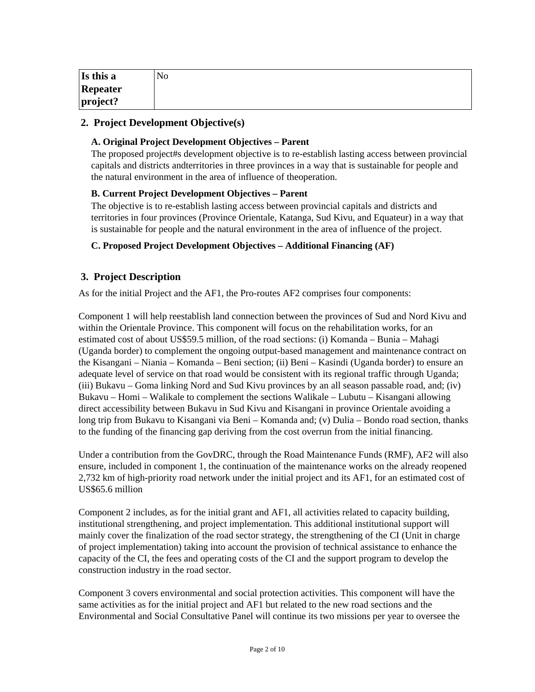| Is this a | No |
|-----------|----|
| Repeater  |    |
| project?  |    |

### **2. Project Development Objective(s)**

#### **A. Original Project Development Objectives – Parent**

The proposed project#s development objective is to re-establish lasting access between provincial capitals and districts andterritories in three provinces in a way that is sustainable for people and the natural environment in the area of influence of theoperation.

#### **B. Current Project Development Objectives – Parent**

The objective is to re-establish lasting access between provincial capitals and districts and territories in four provinces (Province Orientale, Katanga, Sud Kivu, and Equateur) in a way that is sustainable for people and the natural environment in the area of influence of the project.

#### **C. Proposed Project Development Objectives – Additional Financing (AF)**

### **3. Project Description**

As for the initial Project and the AF1, the Pro-routes AF2 comprises four components:

Component 1 will help reestablish land connection between the provinces of Sud and Nord Kivu and within the Orientale Province. This component will focus on the rehabilitation works, for an estimated cost of about US\$59.5 million, of the road sections: (i) Komanda – Bunia – Mahagi (Uganda border) to complement the ongoing output-based management and maintenance contract on the Kisangani – Niania – Komanda – Beni section; (ii) Beni – Kasindi (Uganda border) to ensure an adequate level of service on that road would be consistent with its regional traffic through Uganda; (iii) Bukavu – Goma linking Nord and Sud Kivu provinces by an all season passable road, and; (iv) Bukavu – Homi – Walikale to complement the sections Walikale – Lubutu – Kisangani allowing direct accessibility between Bukavu in Sud Kivu and Kisangani in province Orientale avoiding a long trip from Bukavu to Kisangani via Beni – Komanda and; (v) Dulia – Bondo road section, thanks to the funding of the financing gap deriving from the cost overrun from the initial financing.

Under a contribution from the GovDRC, through the Road Maintenance Funds (RMF), AF2 will also ensure, included in component 1, the continuation of the maintenance works on the already reopened 2,732 km of high-priority road network under the initial project and its AF1, for an estimated cost of US\$65.6 million

Component 2 includes, as for the initial grant and AF1, all activities related to capacity building, institutional strengthening, and project implementation. This additional institutional support will mainly cover the finalization of the road sector strategy, the strengthening of the CI (Unit in charge of project implementation) taking into account the provision of technical assistance to enhance the capacity of the CI, the fees and operating costs of the CI and the support program to develop the construction industry in the road sector.

Component 3 covers environmental and social protection activities. This component will have the same activities as for the initial project and AF1 but related to the new road sections and the Environmental and Social Consultative Panel will continue its two missions per year to oversee the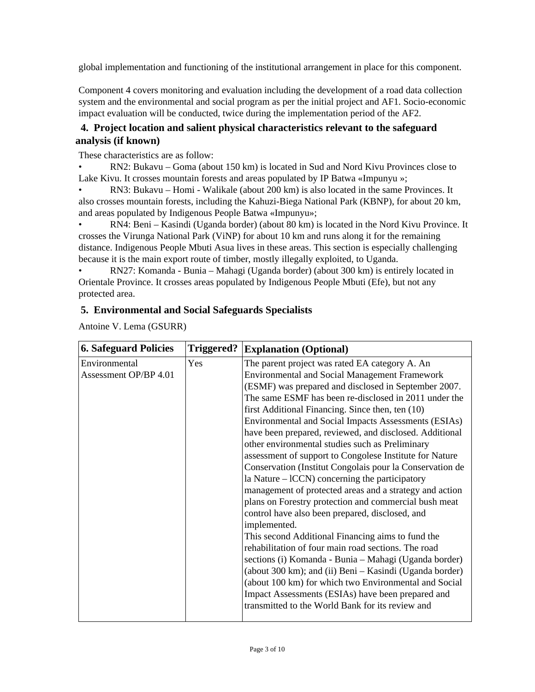global implementation and functioning of the institutional arrangement in place for this component.

Component 4 covers monitoring and evaluation including the development of a road data collection system and the environmental and social program as per the initial project and AF1. Socio-economic impact evaluation will be conducted, twice during the implementation period of the AF2.

### **4. Project location and salient physical characteristics relevant to the safeguard analysis (if known)**

These characteristics are as follow:

• RN2: Bukavu – Goma (about 150 km) is located in Sud and Nord Kivu Provinces close to Lake Kivu. It crosses mountain forests and areas populated by IP Batwa «Impunyu »;

• RN3: Bukavu – Homi - Walikale (about 200 km) is also located in the same Provinces. It also crosses mountain forests, including the Kahuzi-Biega National Park (KBNP), for about 20 km, and areas populated by Indigenous People Batwa «Impunyu»;

• RN4: Beni – Kasindi (Uganda border) (about 80 km) is located in the Nord Kivu Province. It crosses the Virunga National Park (ViNP) for about 10 km and runs along it for the remaining distance. Indigenous People Mbuti Asua lives in these areas. This section is especially challenging because it is the main export route of timber, mostly illegally exploited, to Uganda.

• RN27: Komanda - Bunia – Mahagi (Uganda border) (about 300 km) is entirely located in Orientale Province. It crosses areas populated by Indigenous People Mbuti (Efe), but not any protected area.

### **5. Environmental and Social Safeguards Specialists**

Antoine V. Lema (GSURR)

| <b>6. Safeguard Policies</b> | Triggered? | <b>Explanation (Optional)</b>                            |
|------------------------------|------------|----------------------------------------------------------|
| Environmental                | Yes        | The parent project was rated EA category A. An           |
| Assessment OP/BP 4.01        |            | <b>Environmental and Social Management Framework</b>     |
|                              |            | (ESMF) was prepared and disclosed in September 2007.     |
|                              |            | The same ESMF has been re-disclosed in 2011 under the    |
|                              |            | first Additional Financing. Since then, ten (10)         |
|                              |            | Environmental and Social Impacts Assessments (ESIAs)     |
|                              |            | have been prepared, reviewed, and disclosed. Additional  |
|                              |            | other environmental studies such as Preliminary          |
|                              |            | assessment of support to Congolese Institute for Nature  |
|                              |            | Conservation (Institut Congolais pour la Conservation de |
|                              |            | la Nature $-$ lCCN) concerning the participatory         |
|                              |            | management of protected areas and a strategy and action  |
|                              |            | plans on Forestry protection and commercial bush meat    |
|                              |            | control have also been prepared, disclosed, and          |
|                              |            | implemented.                                             |
|                              |            | This second Additional Financing aims to fund the        |
|                              |            | rehabilitation of four main road sections. The road      |
|                              |            | sections (i) Komanda - Bunia - Mahagi (Uganda border)    |
|                              |            | (about 300 km); and (ii) Beni - Kasindi (Uganda border)  |
|                              |            | (about 100 km) for which two Environmental and Social    |
|                              |            | Impact Assessments (ESIAs) have been prepared and        |
|                              |            | transmitted to the World Bank for its review and         |
|                              |            |                                                          |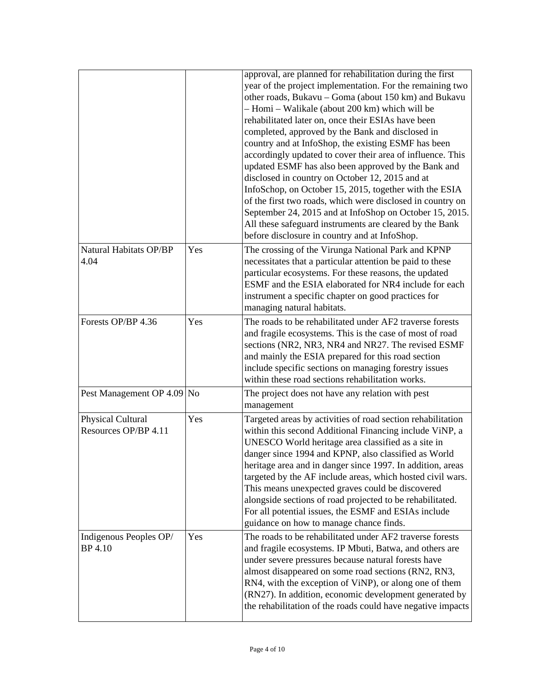|                                           |     | approval, are planned for rehabilitation during the first<br>year of the project implementation. For the remaining two<br>other roads, Bukavu - Goma (about 150 km) and Bukavu<br>- Homi - Walikale (about 200 km) which will be<br>rehabilitated later on, once their ESIAs have been<br>completed, approved by the Bank and disclosed in<br>country and at InfoShop, the existing ESMF has been<br>accordingly updated to cover their area of influence. This<br>updated ESMF has also been approved by the Bank and<br>disclosed in country on October 12, 2015 and at<br>InfoSchop, on October 15, 2015, together with the ESIA<br>of the first two roads, which were disclosed in country on<br>September 24, 2015 and at InfoShop on October 15, 2015.<br>All these safeguard instruments are cleared by the Bank<br>before disclosure in country and at InfoShop. |
|-------------------------------------------|-----|--------------------------------------------------------------------------------------------------------------------------------------------------------------------------------------------------------------------------------------------------------------------------------------------------------------------------------------------------------------------------------------------------------------------------------------------------------------------------------------------------------------------------------------------------------------------------------------------------------------------------------------------------------------------------------------------------------------------------------------------------------------------------------------------------------------------------------------------------------------------------|
| Natural Habitats OP/BP<br>4.04            | Yes | The crossing of the Virunga National Park and KPNP<br>necessitates that a particular attention be paid to these<br>particular ecosystems. For these reasons, the updated<br>ESMF and the ESIA elaborated for NR4 include for each<br>instrument a specific chapter on good practices for<br>managing natural habitats.                                                                                                                                                                                                                                                                                                                                                                                                                                                                                                                                                   |
| Forests OP/BP 4.36                        | Yes | The roads to be rehabilitated under AF2 traverse forests<br>and fragile ecosystems. This is the case of most of road<br>sections (NR2, NR3, NR4 and NR27. The revised ESMF<br>and mainly the ESIA prepared for this road section<br>include specific sections on managing forestry issues<br>within these road sections rehabilitation works.                                                                                                                                                                                                                                                                                                                                                                                                                                                                                                                            |
| Pest Management OP 4.09 No                |     | The project does not have any relation with pest<br>management                                                                                                                                                                                                                                                                                                                                                                                                                                                                                                                                                                                                                                                                                                                                                                                                           |
| Physical Cultural<br>Resources OP/BP 4.11 | Yes | Targeted areas by activities of road section rehabilitation<br>within this second Additional Financing include ViNP, a<br>UNESCO World heritage area classified as a site in<br>danger since 1994 and KPNP, also classified as World<br>heritage area and in danger since 1997. In addition, areas<br>targeted by the AF include areas, which hosted civil wars.<br>This means unexpected graves could be discovered<br>alongside sections of road projected to be rehabilitated.<br>For all potential issues, the ESMF and ESIAs include<br>guidance on how to manage chance finds.                                                                                                                                                                                                                                                                                     |
| Indigenous Peoples OP/<br>BP 4.10         | Yes | The roads to be rehabilitated under AF2 traverse forests<br>and fragile ecosystems. IP Mbuti, Batwa, and others are<br>under severe pressures because natural forests have<br>almost disappeared on some road sections (RN2, RN3,<br>RN4, with the exception of ViNP), or along one of them<br>(RN27). In addition, economic development generated by<br>the rehabilitation of the roads could have negative impacts                                                                                                                                                                                                                                                                                                                                                                                                                                                     |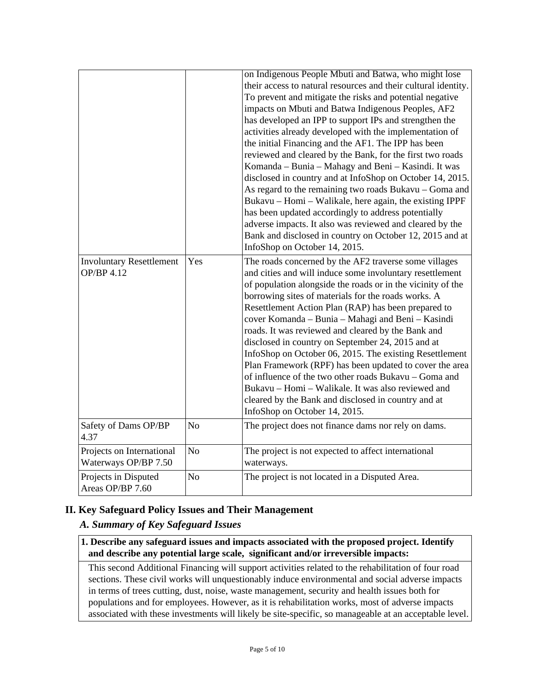|                                 |                | on Indigenous People Mbuti and Batwa, who might lose           |
|---------------------------------|----------------|----------------------------------------------------------------|
|                                 |                | their access to natural resources and their cultural identity. |
|                                 |                | To prevent and mitigate the risks and potential negative       |
|                                 |                | impacts on Mbuti and Batwa Indigenous Peoples, AF2             |
|                                 |                | has developed an IPP to support IPs and strengthen the         |
|                                 |                | activities already developed with the implementation of        |
|                                 |                | the initial Financing and the AF1. The IPP has been            |
|                                 |                | reviewed and cleared by the Bank, for the first two roads      |
|                                 |                | Komanda – Bunia – Mahagy and Beni – Kasindi. It was            |
|                                 |                | disclosed in country and at InfoShop on October 14, 2015.      |
|                                 |                | As regard to the remaining two roads Bukavu - Goma and         |
|                                 |                | Bukavu – Homi – Walikale, here again, the existing IPPF        |
|                                 |                | has been updated accordingly to address potentially            |
|                                 |                | adverse impacts. It also was reviewed and cleared by the       |
|                                 |                | Bank and disclosed in country on October 12, 2015 and at       |
|                                 |                | InfoShop on October 14, 2015.                                  |
| <b>Involuntary Resettlement</b> | Yes            | The roads concerned by the AF2 traverse some villages          |
| OP/BP 4.12                      |                | and cities and will induce some involuntary resettlement       |
|                                 |                | of population alongside the roads or in the vicinity of the    |
|                                 |                | borrowing sites of materials for the roads works. A            |
|                                 |                | Resettlement Action Plan (RAP) has been prepared to            |
|                                 |                | cover Komanda - Bunia - Mahagi and Beni - Kasindi              |
|                                 |                | roads. It was reviewed and cleared by the Bank and             |
|                                 |                | disclosed in country on September 24, 2015 and at              |
|                                 |                | InfoShop on October 06, 2015. The existing Resettlement        |
|                                 |                | Plan Framework (RPF) has been updated to cover the area        |
|                                 |                | of influence of the two other roads Bukavu – Goma and          |
|                                 |                | Bukavu – Homi – Walikale. It was also reviewed and             |
|                                 |                | cleared by the Bank and disclosed in country and at            |
|                                 |                | InfoShop on October 14, 2015.                                  |
| Safety of Dams OP/BP            | N <sub>o</sub> | The project does not finance dams nor rely on dams.            |
| 4.37                            |                |                                                                |
| Projects on International       | No             | The project is not expected to affect international            |
| Waterways OP/BP 7.50            |                | waterways.                                                     |
| Projects in Disputed            | N <sub>o</sub> | The project is not located in a Disputed Area.                 |
| Areas OP/BP 7.60                |                |                                                                |

# **II. Key Safeguard Policy Issues and Their Management**

### *A. Summary of Key Safeguard Issues*

#### **1. Describe any safeguard issues and impacts associated with the proposed project. Identify and describe any potential large scale, significant and/or irreversible impacts:**

This second Additional Financing will support activities related to the rehabilitation of four road sections. These civil works will unquestionably induce environmental and social adverse impacts in terms of trees cutting, dust, noise, waste management, security and health issues both for populations and for employees. However, as it is rehabilitation works, most of adverse impacts associated with these investments will likely be site-specific, so manageable at an acceptable level.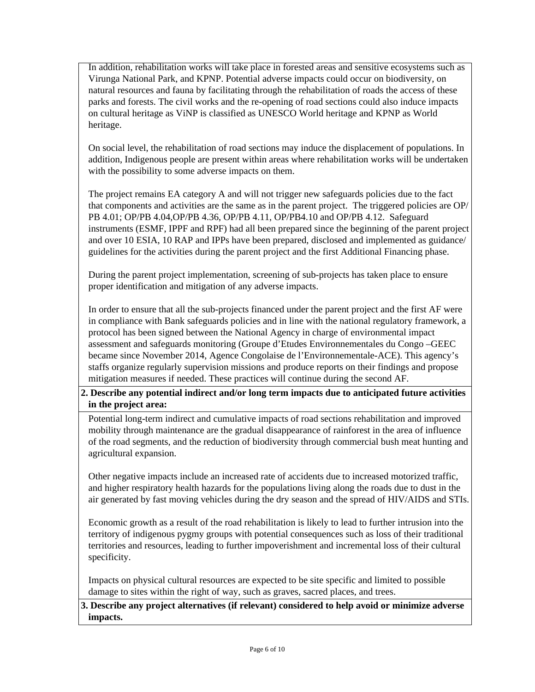In addition, rehabilitation works will take place in forested areas and sensitive ecosystems such as Virunga National Park, and KPNP. Potential adverse impacts could occur on biodiversity, on natural resources and fauna by facilitating through the rehabilitation of roads the access of these parks and forests. The civil works and the re-opening of road sections could also induce impacts on cultural heritage as ViNP is classified as UNESCO World heritage and KPNP as World heritage.

On social level, the rehabilitation of road sections may induce the displacement of populations. In addition, Indigenous people are present within areas where rehabilitation works will be undertaken with the possibility to some adverse impacts on them.

The project remains EA category A and will not trigger new safeguards policies due to the fact that components and activities are the same as in the parent project. The triggered policies are OP/ PB 4.01; OP/PB 4.04,OP/PB 4.36, OP/PB 4.11, OP/PB4.10 and OP/PB 4.12. Safeguard instruments (ESMF, IPPF and RPF) had all been prepared since the beginning of the parent project and over 10 ESIA, 10 RAP and IPPs have been prepared, disclosed and implemented as guidance/ guidelines for the activities during the parent project and the first Additional Financing phase.

During the parent project implementation, screening of sub-projects has taken place to ensure proper identification and mitigation of any adverse impacts.

In order to ensure that all the sub-projects financed under the parent project and the first AF were in compliance with Bank safeguards policies and in line with the national regulatory framework, a protocol has been signed between the National Agency in charge of environmental impact assessment and safeguards monitoring (Groupe d'Etudes Environnementales du Congo –GEEC became since November 2014, Agence Congolaise de l'Environnementale-ACE). This agency's staffs organize regularly supervision missions and produce reports on their findings and propose mitigation measures if needed. These practices will continue during the second AF.

### **2. Describe any potential indirect and/or long term impacts due to anticipated future activities in the project area:**

Potential long-term indirect and cumulative impacts of road sections rehabilitation and improved mobility through maintenance are the gradual disappearance of rainforest in the area of influence of the road segments, and the reduction of biodiversity through commercial bush meat hunting and agricultural expansion.

Other negative impacts include an increased rate of accidents due to increased motorized traffic, and higher respiratory health hazards for the populations living along the roads due to dust in the air generated by fast moving vehicles during the dry season and the spread of HIV/AIDS and STIs.

Economic growth as a result of the road rehabilitation is likely to lead to further intrusion into the territory of indigenous pygmy groups with potential consequences such as loss of their traditional territories and resources, leading to further impoverishment and incremental loss of their cultural specificity.

Impacts on physical cultural resources are expected to be site specific and limited to possible damage to sites within the right of way, such as graves, sacred places, and trees.

**3. Describe any project alternatives (if relevant) considered to help avoid or minimize adverse impacts.**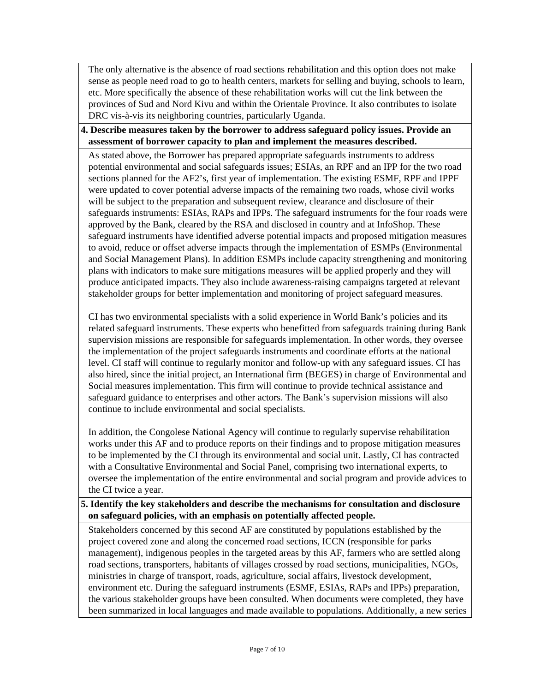The only alternative is the absence of road sections rehabilitation and this option does not make sense as people need road to go to health centers, markets for selling and buying, schools to learn, etc. More specifically the absence of these rehabilitation works will cut the link between the provinces of Sud and Nord Kivu and within the Orientale Province. It also contributes to isolate DRC vis-à-vis its neighboring countries, particularly Uganda.

#### **4. Describe measures taken by the borrower to address safeguard policy issues. Provide an assessment of borrower capacity to plan and implement the measures described.**

As stated above, the Borrower has prepared appropriate safeguards instruments to address potential environmental and social safeguards issues; ESIAs, an RPF and an IPP for the two road sections planned for the AF2's, first year of implementation. The existing ESMF, RPF and IPPF were updated to cover potential adverse impacts of the remaining two roads, whose civil works will be subject to the preparation and subsequent review, clearance and disclosure of their safeguards instruments: ESIAs, RAPs and IPPs. The safeguard instruments for the four roads were approved by the Bank, cleared by the RSA and disclosed in country and at InfoShop. These safeguard instruments have identified adverse potential impacts and proposed mitigation measures to avoid, reduce or offset adverse impacts through the implementation of ESMPs (Environmental and Social Management Plans). In addition ESMPs include capacity strengthening and monitoring plans with indicators to make sure mitigations measures will be applied properly and they will produce anticipated impacts. They also include awareness-raising campaigns targeted at relevant stakeholder groups for better implementation and monitoring of project safeguard measures.

CI has two environmental specialists with a solid experience in World Bank's policies and its related safeguard instruments. These experts who benefitted from safeguards training during Bank supervision missions are responsible for safeguards implementation. In other words, they oversee the implementation of the project safeguards instruments and coordinate efforts at the national level. CI staff will continue to regularly monitor and follow-up with any safeguard issues. CI has also hired, since the initial project, an International firm (BEGES) in charge of Environmental and Social measures implementation. This firm will continue to provide technical assistance and safeguard guidance to enterprises and other actors. The Bank's supervision missions will also continue to include environmental and social specialists.

In addition, the Congolese National Agency will continue to regularly supervise rehabilitation works under this AF and to produce reports on their findings and to propose mitigation measures to be implemented by the CI through its environmental and social unit. Lastly, CI has contracted with a Consultative Environmental and Social Panel, comprising two international experts, to oversee the implementation of the entire environmental and social program and provide advices to the CI twice a year.

#### **5. Identify the key stakeholders and describe the mechanisms for consultation and disclosure on safeguard policies, with an emphasis on potentially affected people.**

Stakeholders concerned by this second AF are constituted by populations established by the project covered zone and along the concerned road sections, ICCN (responsible for parks management), indigenous peoples in the targeted areas by this AF, farmers who are settled along road sections, transporters, habitants of villages crossed by road sections, municipalities, NGOs, ministries in charge of transport, roads, agriculture, social affairs, livestock development, environment etc. During the safeguard instruments (ESMF, ESIAs, RAPs and IPPs) preparation, the various stakeholder groups have been consulted. When documents were completed, they have been summarized in local languages and made available to populations. Additionally, a new series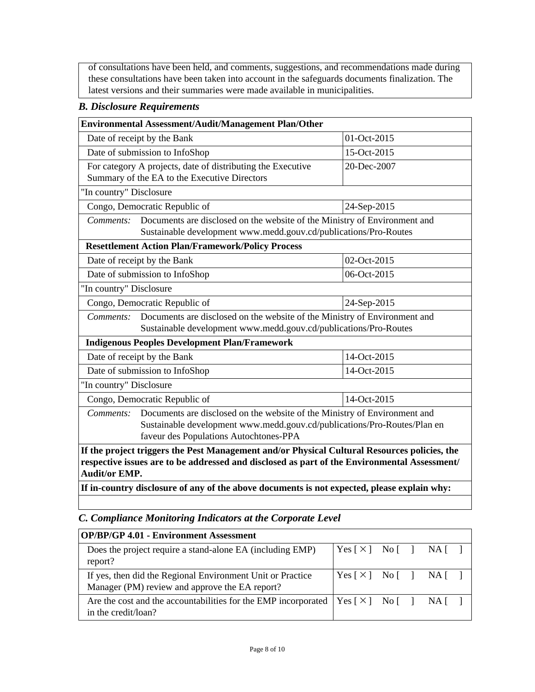of consultations have been held, and comments, suggestions, and recommendations made during these consultations have been taken into account in the safeguards documents finalization. The latest versions and their summaries were made available in municipalities.

# *B. Disclosure Requirements*

| Environmental Assessment/Audit/Management Plan/Other                                                                                                                                                                                                                                                                |             |  |  |  |  |
|---------------------------------------------------------------------------------------------------------------------------------------------------------------------------------------------------------------------------------------------------------------------------------------------------------------------|-------------|--|--|--|--|
| Date of receipt by the Bank<br>01-Oct-2015                                                                                                                                                                                                                                                                          |             |  |  |  |  |
| Date of submission to InfoShop                                                                                                                                                                                                                                                                                      | 15-Oct-2015 |  |  |  |  |
| For category A projects, date of distributing the Executive<br>Summary of the EA to the Executive Directors                                                                                                                                                                                                         | 20-Dec-2007 |  |  |  |  |
| "In country" Disclosure                                                                                                                                                                                                                                                                                             |             |  |  |  |  |
| Congo, Democratic Republic of                                                                                                                                                                                                                                                                                       | 24-Sep-2015 |  |  |  |  |
| Comments:<br>Documents are disclosed on the website of the Ministry of Environment and<br>Sustainable development www.medd.gouv.cd/publications/Pro-Routes                                                                                                                                                          |             |  |  |  |  |
| <b>Resettlement Action Plan/Framework/Policy Process</b>                                                                                                                                                                                                                                                            |             |  |  |  |  |
| Date of receipt by the Bank                                                                                                                                                                                                                                                                                         | 02-Oct-2015 |  |  |  |  |
| Date of submission to InfoShop<br>06-Oct-2015                                                                                                                                                                                                                                                                       |             |  |  |  |  |
| "In country" Disclosure                                                                                                                                                                                                                                                                                             |             |  |  |  |  |
| Congo, Democratic Republic of<br>24-Sep-2015                                                                                                                                                                                                                                                                        |             |  |  |  |  |
| Documents are disclosed on the website of the Ministry of Environment and<br>Comments:<br>Sustainable development www.medd.gouv.cd/publications/Pro-Routes                                                                                                                                                          |             |  |  |  |  |
| <b>Indigenous Peoples Development Plan/Framework</b>                                                                                                                                                                                                                                                                |             |  |  |  |  |
| Date of receipt by the Bank                                                                                                                                                                                                                                                                                         | 14-Oct-2015 |  |  |  |  |
| Date of submission to InfoShop                                                                                                                                                                                                                                                                                      | 14-Oct-2015 |  |  |  |  |
| "In country" Disclosure                                                                                                                                                                                                                                                                                             |             |  |  |  |  |
| Congo, Democratic Republic of                                                                                                                                                                                                                                                                                       | 14-Oct-2015 |  |  |  |  |
| Documents are disclosed on the website of the Ministry of Environment and<br>Comments:<br>Sustainable development www.medd.gouv.cd/publications/Pro-Routes/Plan en<br>faveur des Populations Autochtones-PPA                                                                                                        |             |  |  |  |  |
| If the project triggers the Pest Management and/or Physical Cultural Resources policies, the<br>respective issues are to be addressed and disclosed as part of the Environmental Assessment/<br><b>Audit/or EMP.</b><br>If in-country disclosure of any of the above documents is not expected, please explain why: |             |  |  |  |  |

### *C. Compliance Monitoring Indicators at the Corporate Level*

| <b>OP/BP/GP 4.01 - Environment Assessment</b>                                                                |                                    |  |  |
|--------------------------------------------------------------------------------------------------------------|------------------------------------|--|--|
| Does the project require a stand-alone EA (including EMP)<br>report?                                         | Yes [X] No [ ] NA [ ]              |  |  |
| If yes, then did the Regional Environment Unit or Practice<br>Manager (PM) review and approve the EA report? | Yes $[\times]$ No $[\ ]$ NA $[\ ]$ |  |  |
| Are the cost and the accountabilities for the EMP incorporated<br>in the credit/loan?                        | Yes [X] No [ ] NA [ ]              |  |  |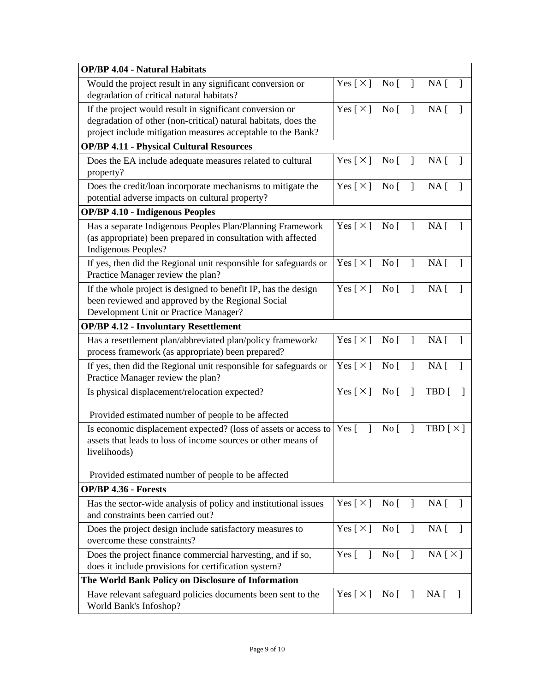| <b>OP/BP 4.04 - Natural Habitats</b>                                                                                                                                                      |                                    |                                 |                |                                 |
|-------------------------------------------------------------------------------------------------------------------------------------------------------------------------------------------|------------------------------------|---------------------------------|----------------|---------------------------------|
| Would the project result in any significant conversion or<br>degradation of critical natural habitats?                                                                                    | $Yes [ \times ] No [ ]$            |                                 |                | NA <sub>1</sub><br>$\mathbf{I}$ |
| If the project would result in significant conversion or<br>degradation of other (non-critical) natural habitats, does the<br>project include mitigation measures acceptable to the Bank? | Yes [ X ] No [                     |                                 | $\mathbf{I}$   | NA <sub>1</sub><br>$\mathbf{1}$ |
| <b>OP/BP 4.11 - Physical Cultural Resources</b>                                                                                                                                           |                                    |                                 |                |                                 |
| Does the EA include adequate measures related to cultural<br>property?                                                                                                                    | Yes [ $\times$ ]                   | $\overline{N}$ o                | $\mathbf{I}$   | NA [<br>$\mathbf{1}$            |
| Does the credit/loan incorporate mechanisms to mitigate the<br>potential adverse impacts on cultural property?                                                                            | Yes $[\times]$                     | No [                            | $\mathbf{I}$   | NA <sub>[</sub> ]<br>1          |
| <b>OP/BP 4.10 - Indigenous Peoples</b>                                                                                                                                                    |                                    |                                 |                |                                 |
| Has a separate Indigenous Peoples Plan/Planning Framework<br>(as appropriate) been prepared in consultation with affected<br><b>Indigenous Peoples?</b>                                   | Yes $[\times]$ No $[$              |                                 | $\overline{1}$ | NA <sub>1</sub>                 |
| If yes, then did the Regional unit responsible for safeguards or<br>Practice Manager review the plan?                                                                                     | Yes [ $\times$ ]                   | $\overline{N}$ o                | $\mathbf{I}$   | NA <sub>1</sub><br>$\mathbf{1}$ |
| If the whole project is designed to benefit IP, has the design<br>been reviewed and approved by the Regional Social<br>Development Unit or Practice Manager?                              | Yes $[\times]$ No $[$              |                                 | $\mathbf{I}$   | NA <sub>1</sub>                 |
| <b>OP/BP 4.12 - Involuntary Resettlement</b>                                                                                                                                              |                                    |                                 |                |                                 |
| Has a resettlement plan/abbreviated plan/policy framework/<br>process framework (as appropriate) been prepared?                                                                           | $Yes [ \times ] No [$              |                                 | $\mathbf{I}$   | $NA \lceil$                     |
| If yes, then did the Regional unit responsible for safeguards or<br>Practice Manager review the plan?                                                                                     | Yes [ X ] No [                     |                                 | $\mathbf{I}$   | $NA \lceil$                     |
| Is physical displacement/relocation expected?                                                                                                                                             | Yes $[\times]$ No [                |                                 | $\mathbf{I}$   | TBD [                           |
| Provided estimated number of people to be affected                                                                                                                                        |                                    |                                 |                |                                 |
| Is economic displacement expected? (loss of assets or access to<br>assets that leads to loss of income sources or other means of<br>livelihoods)                                          | Yes $\lceil$<br>$\mathbf{I}$       | No <sub>1</sub>                 | $\mathbf{I}$   | TBD $\lceil \times \rceil$      |
| Provided estimated number of people to be affected                                                                                                                                        |                                    |                                 |                |                                 |
| OP/BP 4.36 - Forests                                                                                                                                                                      |                                    |                                 |                |                                 |
| Has the sector-wide analysis of policy and institutional issues<br>and constraints been carried out?                                                                                      | Yes [ $\times$ ]                   | No <sub>1</sub>                 | $\mathbf{I}$   | NA <sub>1</sub><br>-1           |
| Does the project design include satisfactory measures to<br>overcome these constraints?                                                                                                   | $Yes [ \times ] No [ ] NA [ ]$     |                                 |                |                                 |
| Does the project finance commercial harvesting, and if so,<br>does it include provisions for certification system?                                                                        | Yes $[ ]$ No $[ ]$ NA $[ \times ]$ |                                 |                |                                 |
| The World Bank Policy on Disclosure of Information                                                                                                                                        |                                    |                                 |                |                                 |
| Have relevant safeguard policies documents been sent to the<br>World Bank's Infoshop?                                                                                                     | Yes [ $\times$ ]                   | $\overline{N}$ o $\overline{[}$ | $\mathbf{I}$   | NA [                            |